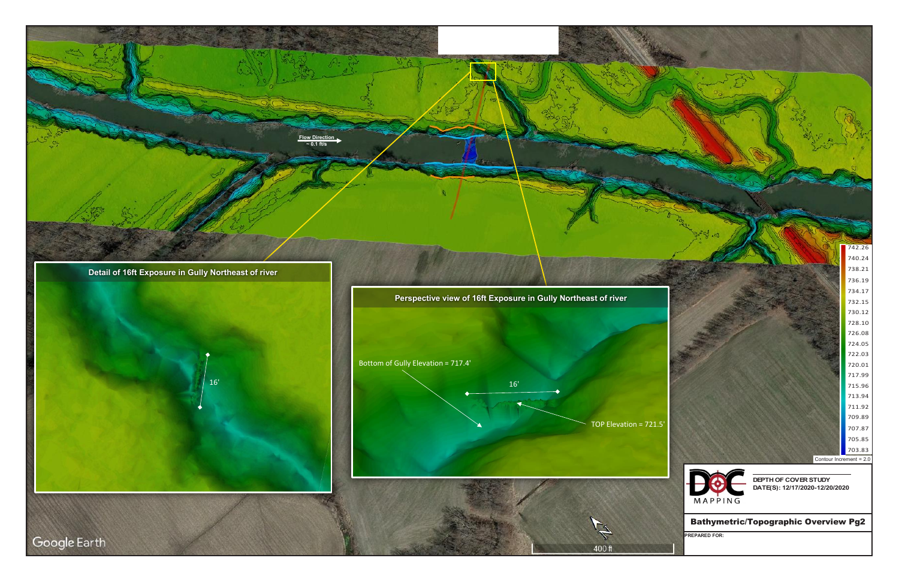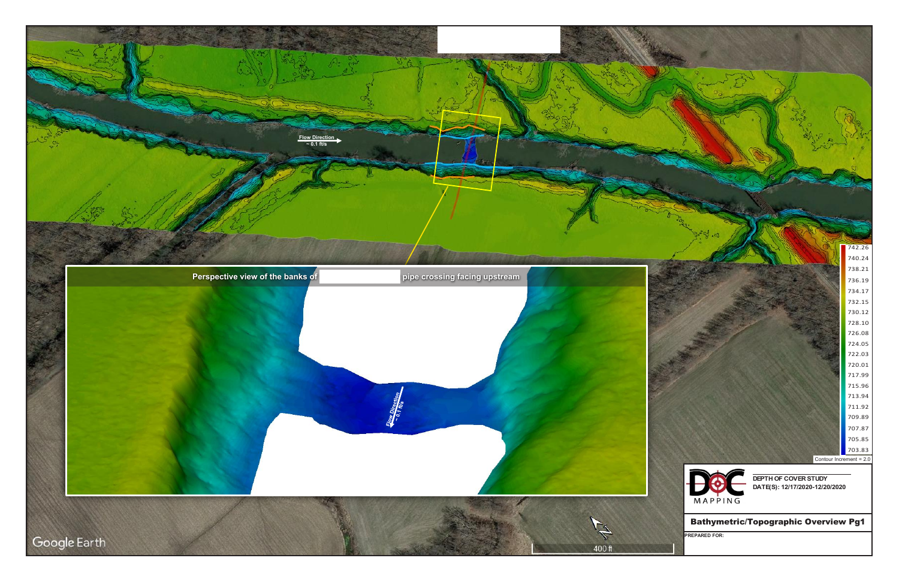